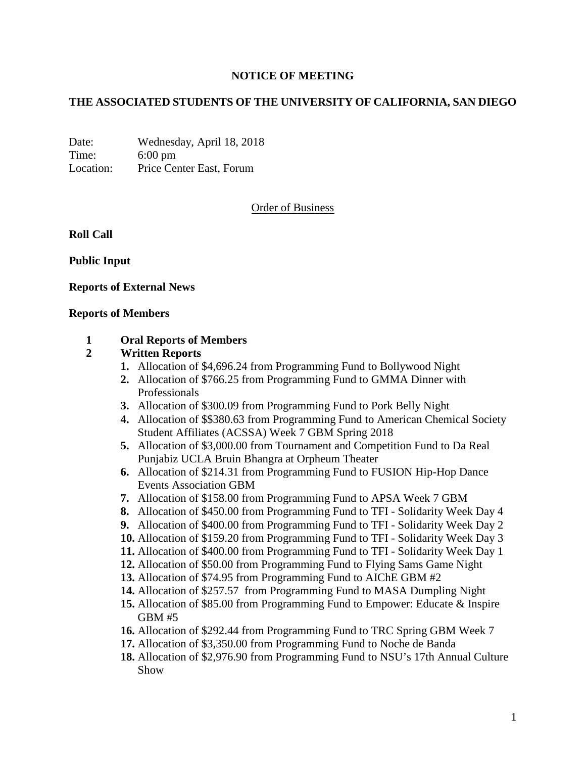## **NOTICE OF MEETING**

# **THE ASSOCIATED STUDENTS OF THE UNIVERSITY OF CALIFORNIA, SAN DIEGO**

Date: Wednesday, April 18, 2018 Time: 6:00 pm Location: Price Center East, Forum

## Order of Business

**Roll Call**

**Public Input**

**Reports of External News**

#### **Reports of Members**

#### **1 Oral Reports of Members**

### **2 Written Reports**

- **1.** Allocation of \$4,696.24 from Programming Fund to Bollywood Night
- **2.** Allocation of \$766.25 from Programming Fund to GMMA Dinner with Professionals
- **3.** Allocation of \$300.09 from Programming Fund to Pork Belly Night
- **4.** Allocation of \$\$380.63 from Programming Fund to American Chemical Society Student Affiliates (ACSSA) Week 7 GBM Spring 2018
- **5.** Allocation of \$3,000.00 from Tournament and Competition Fund to Da Real Punjabiz UCLA Bruin Bhangra at Orpheum Theater
- **6.** Allocation of \$214.31 from Programming Fund to FUSION Hip-Hop Dance Events Association GBM
- **7.** Allocation of \$158.00 from Programming Fund to APSA Week 7 GBM
- **8.** Allocation of \$450.00 from Programming Fund to TFI Solidarity Week Day 4
- **9.** Allocation of \$400.00 from Programming Fund to TFI Solidarity Week Day 2
- **10.** Allocation of \$159.20 from Programming Fund to TFI Solidarity Week Day 3
- **11.** Allocation of \$400.00 from Programming Fund to TFI Solidarity Week Day 1
- **12.** Allocation of \$50.00 from Programming Fund to Flying Sams Game Night
- **13.** Allocation of \$74.95 from Programming Fund to AIChE GBM #2
- **14.** Allocation of \$257.57 from Programming Fund to MASA Dumpling Night
- **15.** Allocation of \$85.00 from Programming Fund to Empower: Educate & Inspire GBM #5
- **16.** Allocation of \$292.44 from Programming Fund to TRC Spring GBM Week 7
- **17.** Allocation of \$3,350.00 from Programming Fund to Noche de Banda
- **18.** Allocation of \$2,976.90 from Programming Fund to NSU's 17th Annual Culture Show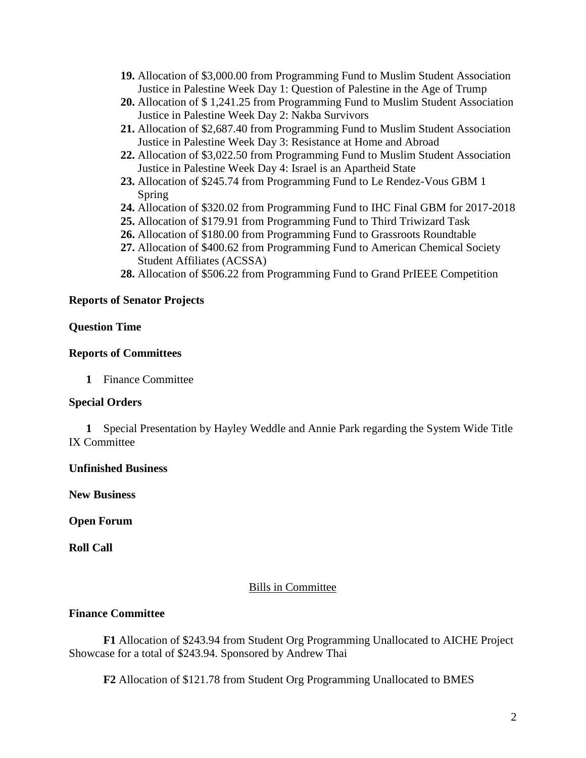- **19.** Allocation of \$3,000.00 from Programming Fund to Muslim Student Association Justice in Palestine Week Day 1: Question of Palestine in the Age of Trump
- **20.** Allocation of \$ 1,241.25 from Programming Fund to Muslim Student Association Justice in Palestine Week Day 2: Nakba Survivors
- **21.** Allocation of \$2,687.40 from Programming Fund to Muslim Student Association Justice in Palestine Week Day 3: Resistance at Home and Abroad
- **22.** Allocation of \$3,022.50 from Programming Fund to Muslim Student Association Justice in Palestine Week Day 4: Israel is an Apartheid State
- **23.** Allocation of \$245.74 from Programming Fund to Le Rendez-Vous GBM 1 Spring
- **24.** Allocation of \$320.02 from Programming Fund to IHC Final GBM for 2017-2018
- **25.** Allocation of \$179.91 from Programming Fund to Third Triwizard Task
- **26.** Allocation of \$180.00 from Programming Fund to Grassroots Roundtable
- **27.** Allocation of \$400.62 from Programming Fund to American Chemical Society Student Affiliates (ACSSA)
- **28.** Allocation of \$506.22 from Programming Fund to Grand PrIEEE Competition

## **Reports of Senator Projects**

### **Question Time**

### **Reports of Committees**

**1** Finance Committee

### **Special Orders**

**1** Special Presentation by Hayley Weddle and Annie Park regarding the System Wide Title IX Committee

### **Unfinished Business**

**New Business**

**Open Forum**

**Roll Call**

# Bills in Committee

# **Finance Committee**

**F1** Allocation of \$243.94 from Student Org Programming Unallocated to AICHE Project Showcase for a total of \$243.94. Sponsored by Andrew Thai

**F2** Allocation of \$121.78 from Student Org Programming Unallocated to BMES